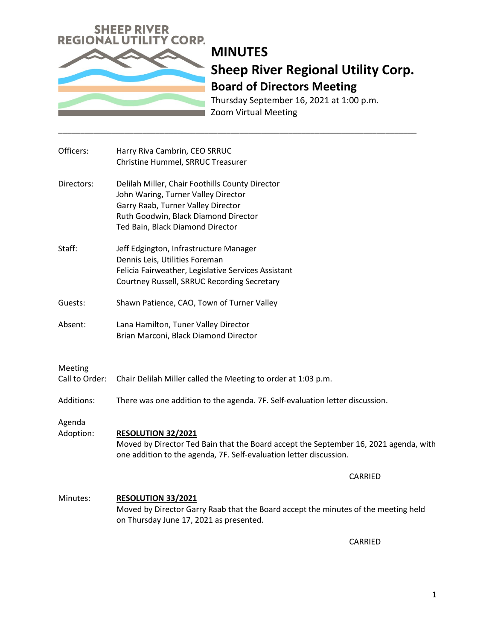

# **MINUTES Sheep River Regional Utility Corp. Board of Directors Meeting**

Thursday September 16, 2021 at 1:00 p.m. Zoom Virtual Meeting

| Officers:                 | Harry Riva Cambrin, CEO SRRUC<br>Christine Hummel, SRRUC Treasurer                                                                                                                                       |
|---------------------------|----------------------------------------------------------------------------------------------------------------------------------------------------------------------------------------------------------|
| Directors:                | Delilah Miller, Chair Foothills County Director<br>John Waring, Turner Valley Director<br>Garry Raab, Turner Valley Director<br>Ruth Goodwin, Black Diamond Director<br>Ted Bain, Black Diamond Director |
| Staff:                    | Jeff Edgington, Infrastructure Manager<br>Dennis Leis, Utilities Foreman<br>Felicia Fairweather, Legislative Services Assistant<br>Courtney Russell, SRRUC Recording Secretary                           |
| Guests:                   | Shawn Patience, CAO, Town of Turner Valley                                                                                                                                                               |
| Absent:                   | Lana Hamilton, Tuner Valley Director<br>Brian Marconi, Black Diamond Director                                                                                                                            |
| Meeting<br>Call to Order: | Chair Delilah Miller called the Meeting to order at 1:03 p.m.                                                                                                                                            |
| Additions:                | There was one addition to the agenda. 7F. Self-evaluation letter discussion.                                                                                                                             |
| Agenda<br>Adoption:       | <b>RESOLUTION 32/2021</b><br>Moved by Director Ted Bain that the Board accept the September 16, 2021 agenda, with<br>one addition to the agenda, 7F. Self-evaluation letter discussion.                  |
|                           | <b>CARRIED</b>                                                                                                                                                                                           |
| Minutes:                  | RESOLUTION 33/2021<br>Moved by Director Garry Raab that the Board accept the minutes of the meeting held<br>on Thursday June 17, 2021 as presented.                                                      |

\_\_\_\_\_\_\_\_\_\_\_\_\_\_\_\_\_\_\_\_\_\_\_\_\_\_\_\_\_\_\_\_\_\_\_\_\_\_\_\_\_\_\_\_\_\_\_\_\_\_\_\_\_\_\_\_\_\_\_\_\_\_\_\_\_\_\_\_\_\_\_\_\_\_\_\_\_\_\_\_\_

CARRIED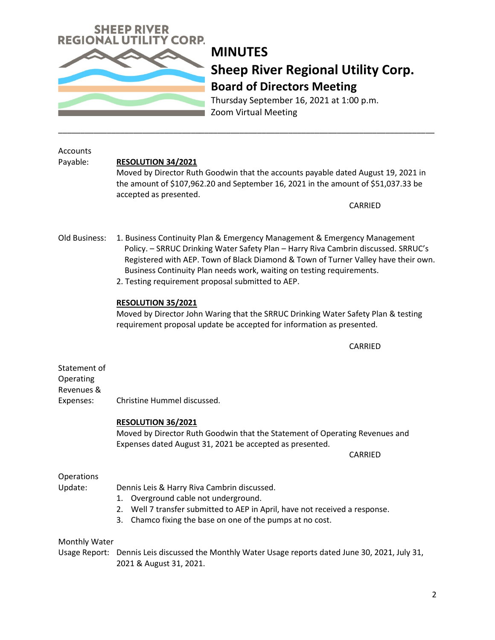

## **MINUTES Sheep River Regional Utility Corp. Board of Directors Meeting**

Thursday September 16, 2021 at 1:00 p.m. Zoom Virtual Meeting

| Accounts<br>Payable:                                 | <b>RESOLUTION 34/2021</b><br>Moved by Director Ruth Goodwin that the accounts payable dated August 19, 2021 in<br>the amount of \$107,962.20 and September 16, 2021 in the amount of \$51,037.33 be<br>accepted as presented.<br>CARRIED                                                                                                                                            |
|------------------------------------------------------|-------------------------------------------------------------------------------------------------------------------------------------------------------------------------------------------------------------------------------------------------------------------------------------------------------------------------------------------------------------------------------------|
| Old Business:                                        | 1. Business Continuity Plan & Emergency Management & Emergency Management<br>Policy. - SRRUC Drinking Water Safety Plan - Harry Riva Cambrin discussed. SRRUC's<br>Registered with AEP. Town of Black Diamond & Town of Turner Valley have their own.<br>Business Continuity Plan needs work, waiting on testing requirements.<br>2. Testing requirement proposal submitted to AEP. |
|                                                      | RESOLUTION 35/2021<br>Moved by Director John Waring that the SRRUC Drinking Water Safety Plan & testing<br>requirement proposal update be accepted for information as presented.                                                                                                                                                                                                    |
|                                                      | CARRIED                                                                                                                                                                                                                                                                                                                                                                             |
| Statement of<br>Operating<br>Revenues &<br>Expenses: | Christine Hummel discussed.                                                                                                                                                                                                                                                                                                                                                         |
|                                                      | <b>RESOLUTION 36/2021</b><br>Moved by Director Ruth Goodwin that the Statement of Operating Revenues and<br>Expenses dated August 31, 2021 be accepted as presented.<br>CARRIED                                                                                                                                                                                                     |
| Operations<br>Update:                                | Dennis Leis & Harry Riva Cambrin discussed.<br>1. Overground cable not underground.<br>Well 7 transfer submitted to AEP in April, have not received a response.<br>Chamco fixing the base on one of the pumps at no cost.<br>3.                                                                                                                                                     |
| Monthly Water<br>Usage Report:                       | Dennis Leis discussed the Monthly Water Usage reports dated June 30, 2021, July 31,<br>2021 & August 31, 2021.                                                                                                                                                                                                                                                                      |

\_\_\_\_\_\_\_\_\_\_\_\_\_\_\_\_\_\_\_\_\_\_\_\_\_\_\_\_\_\_\_\_\_\_\_\_\_\_\_\_\_\_\_\_\_\_\_\_\_\_\_\_\_\_\_\_\_\_\_\_\_\_\_\_\_\_\_\_\_\_\_\_\_\_\_\_\_\_\_\_\_\_\_\_\_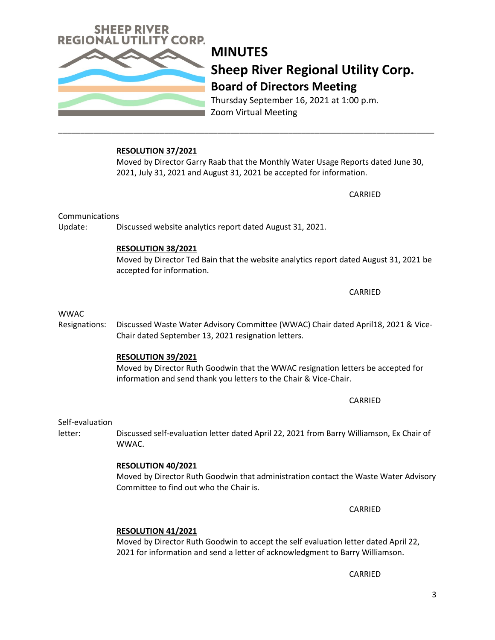**Sheep River Regional Utility Corp. Board of Directors Meeting**  Thursday September 16, 2021 at 1:00 p.m.

Zoom Virtual Meeting

## **RESOLUTION 37/2021**

Update: Discussed website analytics report dated August 31, 2021.

Moved by Director Garry Raab that the Monthly Water Usage Reports dated June 30, 2021, July 31, 2021 and August 31, 2021 be accepted for information.

**MINUTES**

\_\_\_\_\_\_\_\_\_\_\_\_\_\_\_\_\_\_\_\_\_\_\_\_\_\_\_\_\_\_\_\_\_\_\_\_\_\_\_\_\_\_\_\_\_\_\_\_\_\_\_\_\_\_\_\_\_\_\_\_\_\_\_\_\_\_\_\_\_\_\_\_\_\_\_\_\_\_\_\_\_\_\_\_\_

**RESOLUTION 38/2021**

Resignations: Discussed Waste Water Advisory Committee (WWAC) Chair dated April18, 2021 & Vice-

Chair dated September 13, 2021 resignation letters.

Moved by Director Ted Bain that the website analytics report dated August 31, 2021 be accepted for information.

Moved by Director Ruth Goodwin that the WWAC resignation letters be accepted for

CARRIED

CARRIED

CARRIED

### **RESOLUTION 41/2021**

Moved by Director Ruth Goodwin to accept the self evaluation letter dated April 22, 2021 for information and send a letter of acknowledgment to Barry Williamson.

CARRIED

WWAC.

Self-evaluation

## **RESOLUTION 40/2021**

**RESOLUTION 39/2021**

Moved by Director Ruth Goodwin that administration contact the Waste Water Advisory Committee to find out who the Chair is.

letter: Discussed self-evaluation letter dated April 22, 2021 from Barry Williamson, Ex Chair of

information and send thank you letters to the Chair & Vice-Chair.

WWAC

Communications



CARRIED